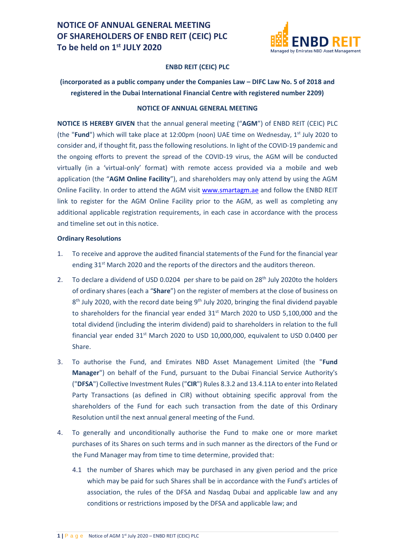

#### **ENBD REIT (CEIC) PLC**

## **(incorporated as a public company under the Companies Law – DIFC Law No. 5 of 2018 and registered in the Dubai International Financial Centre with registered number 2209)**

#### **NOTICE OF ANNUAL GENERAL MEETING**

**NOTICE IS HEREBY GIVEN** that the annual general meeting ("**AGM**") of ENBD REIT (CEIC) PLC (the "**Fund**") which will take place at 12:00pm (noon) UAE time on Wednesday, 1<sup>st</sup> July 2020 to consider and, if thought fit, pass the following resolutions. In light of the COVID-19 pandemic and the ongoing efforts to prevent the spread of the COVID-19 virus, the AGM will be conducted virtually (in a 'virtual-only' format) with remote access provided via a mobile and web application (the "**AGM Online Facility**"), and shareholders may only attend by using the AGM Online Facility. In order to attend the AGM visit [www.smartagm.ae](http://www.smartagm.ae/) and follow the ENBD REIT link to register for the AGM Online Facility prior to the AGM, as well as completing any additional applicable registration requirements, in each case in accordance with the process and timeline set out in this notice.

#### **Ordinary Resolutions**

- 1. To receive and approve the audited financial statements of the Fund for the financial year ending 31<sup>st</sup> March 2020 and the reports of the directors and the auditors thereon.
- 2. To declare a dividend of USD 0.0204 per share to be paid on 28<sup>th</sup> July 2020to the holders of ordinary shares (each a "**Share**") on the register of members at the close of business on 8<sup>th</sup> July 2020, with the record date being 9<sup>th</sup> July 2020, bringing the final dividend payable to shareholders for the financial year ended  $31<sup>st</sup>$  March 2020 to USD 5,100,000 and the total dividend (including the interim dividend) paid to shareholders in relation to the full financial year ended  $31<sup>st</sup>$  March 2020 to USD 10,000,000, equivalent to USD 0.0400 per Share.
- 3. To authorise the Fund, and Emirates NBD Asset Management Limited (the "**Fund Manager**") on behalf of the Fund, pursuant to the Dubai Financial Service Authority's ("**DFSA**") Collective Investment Rules ("**CIR**") Rules 8.3.2 and 13.4.11A to enter into Related Party Transactions (as defined in CIR) without obtaining specific approval from the shareholders of the Fund for each such transaction from the date of this Ordinary Resolution until the next annual general meeting of the Fund.
- 4. To generally and unconditionally authorise the Fund to make one or more market purchases of its Shares on such terms and in such manner as the directors of the Fund or the Fund Manager may from time to time determine, provided that:
	- 4.1 the number of Shares which may be purchased in any given period and the price which may be paid for such Shares shall be in accordance with the Fund's articles of association, the rules of the DFSA and Nasdaq Dubai and applicable law and any conditions or restrictions imposed by the DFSA and applicable law; and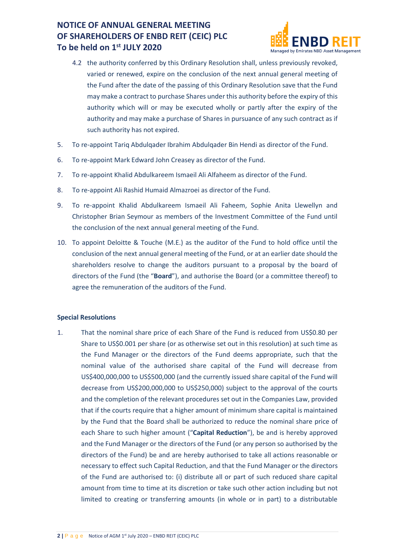

- 4.2 the authority conferred by this Ordinary Resolution shall, unless previously revoked, varied or renewed, expire on the conclusion of the next annual general meeting of the Fund after the date of the passing of this Ordinary Resolution save that the Fund may make a contract to purchase Shares under this authority before the expiry of this authority which will or may be executed wholly or partly after the expiry of the authority and may make a purchase of Shares in pursuance of any such contract as if such authority has not expired.
- 5. To re-appoint Tariq Abdulqader Ibrahim Abdulqader Bin Hendi as director of the Fund.
- 6. To re-appoint Mark Edward John Creasey as director of the Fund.
- 7. To re-appoint Khalid Abdulkareem Ismaeil Ali Alfaheem as director of the Fund.
- 8. To re-appoint Ali Rashid Humaid Almazroei as director of the Fund.
- 9. To re-appoint Khalid Abdulkareem Ismaeil Ali Faheem, Sophie Anita Llewellyn and Christopher Brian Seymour as members of the Investment Committee of the Fund until the conclusion of the next annual general meeting of the Fund.
- 10. To appoint Deloitte & Touche (M.E.) as the auditor of the Fund to hold office until the conclusion of the next annual general meeting of the Fund, or at an earlier date should the shareholders resolve to change the auditors pursuant to a proposal by the board of directors of the Fund (the "**Board**"), and authorise the Board (or a committee thereof) to agree the remuneration of the auditors of the Fund.

#### **Special Resolutions**

1. That the nominal share price of each Share of the Fund is reduced from US\$0.80 per Share to US\$0.001 per share (or as otherwise set out in this resolution) at such time as the Fund Manager or the directors of the Fund deems appropriate, such that the nominal value of the authorised share capital of the Fund will decrease from US\$400,000,000 to US\$500,000 (and the currently issued share capital of the Fund will decrease from US\$200,000,000 to US\$250,000) subject to the approval of the courts and the completion of the relevant procedures set out in the Companies Law, provided that if the courts require that a higher amount of minimum share capital is maintained by the Fund that the Board shall be authorized to reduce the nominal share price of each Share to such higher amount ("**Capital Reduction**"), be and is hereby approved and the Fund Manager or the directors of the Fund (or any person so authorised by the directors of the Fund) be and are hereby authorised to take all actions reasonable or necessary to effect such Capital Reduction, and that the Fund Manager or the directors of the Fund are authorised to: (i) distribute all or part of such reduced share capital amount from time to time at its discretion or take such other action including but not limited to creating or transferring amounts (in whole or in part) to a distributable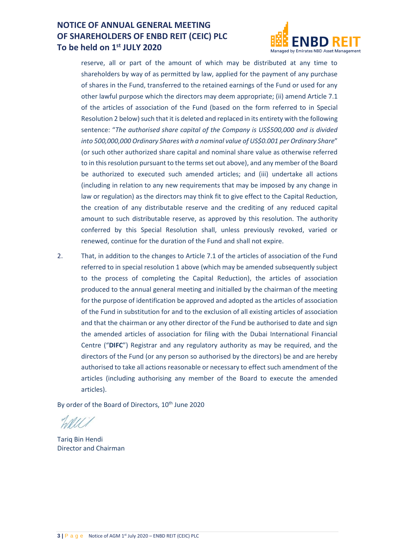

reserve, all or part of the amount of which may be distributed at any time to shareholders by way of as permitted by law, applied for the payment of any purchase of shares in the Fund, transferred to the retained earnings of the Fund or used for any other lawful purpose which the directors may deem appropriate; (ii) amend Article 7.1 of the articles of association of the Fund (based on the form referred to in Special Resolution 2 below) such that it is deleted and replaced in its entirety with the following sentence: "*The authorised share capital of the Company is US\$500,000 and is divided into 500,000,000 Ordinary Shares with a nominal value of US\$0.001 per Ordinary Share*" (or such other authorized share capital and nominal share value as otherwise referred to in this resolution pursuant to the terms set out above), and any member of the Board be authorized to executed such amended articles; and (iii) undertake all actions (including in relation to any new requirements that may be imposed by any change in law or regulation) as the directors may think fit to give effect to the Capital Reduction, the creation of any distributable reserve and the crediting of any reduced capital amount to such distributable reserve, as approved by this resolution. The authority conferred by this Special Resolution shall, unless previously revoked, varied or renewed, continue for the duration of the Fund and shall not expire.

2. That, in addition to the changes to Article 7.1 of the articles of association of the Fund referred to in special resolution 1 above (which may be amended subsequently subject to the process of completing the Capital Reduction), the articles of association produced to the annual general meeting and initialled by the chairman of the meeting for the purpose of identification be approved and adopted as the articles of association of the Fund in substitution for and to the exclusion of all existing articles of association and that the chairman or any other director of the Fund be authorised to date and sign the amended articles of association for filing with the Dubai International Financial Centre ("**DIFC**") Registrar and any regulatory authority as may be required, and the directors of the Fund (or any person so authorised by the directors) be and are hereby authorised to take all actions reasonable or necessary to effect such amendment of the articles (including authorising any member of the Board to execute the amended articles).

By order of the Board of Directors, 10<sup>th</sup> June 2020

Tariq Bin Hendi Director and Chairman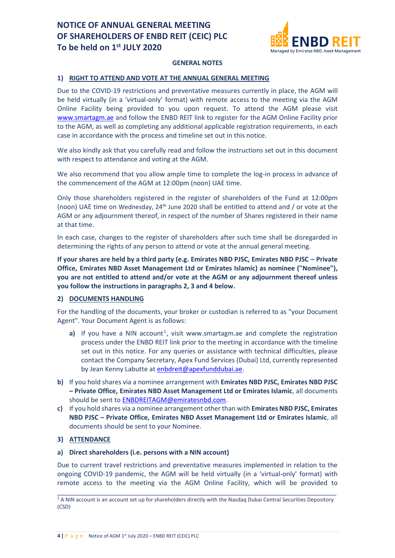

#### **GENERAL NOTES**

### **1) RIGHT TO ATTEND AND VOTE AT THE ANNUAL GENERAL MEETING**

Due to the COVID-19 restrictions and preventative measures currently in place, the AGM will be held virtually (in a 'virtual-only' format) with remote access to the meeting via the AGM Online Facility being provided to you upon request. To attend the AGM please visit [www.smartagm.ae](http://www.smartagm.ae/) and follow the ENBD REIT link to register for the AGM Online Facility prior to the AGM, as well as completing any additional applicable registration requirements, in each case in accordance with the process and timeline set out in this notice.

We also kindly ask that you carefully read and follow the instructions set out in this document with respect to attendance and voting at the AGM.

We also recommend that you allow ample time to complete the log-in process in advance of the commencement of the AGM at 12:00pm (noon) UAE time.

Only those shareholders registered in the register of shareholders of the Fund at 12:00pm (noon) UAE time on Wednesday, 24<sup>th</sup> June 2020 shall be entitled to attend and / or vote at the AGM or any adjournment thereof, in respect of the number of Shares registered in their name at that time.

In each case, changes to the register of shareholders after such time shall be disregarded in determining the rights of any person to attend or vote at the annual general meeting.

**If your shares are held by a third party (e.g. Emirates NBD PJSC, Emirates NBD PJSC – Private Office, Emirates NBD Asset Management Ltd or Emirates Islamic) as nominee ("Nominee"), you are not entitled to attend and/or vote at the AGM or any adjournment thereof unless you follow the instructions in paragraphs 2, 3 and 4 below.**

#### **2) DOCUMENTS HANDLING**

For the handling of the documents, your broker or custodian is referred to as "your Document Agent". Your Document Agent is as follows:

- a) If you have a NIN account<sup>1</sup>, visit www.smartagm.ae and complete the registration process under the ENBD REIT link prior to the meeting in accordance with the timeline set out in this notice. For any queries or assistance with technical difficulties, please contact the Company Secretary, Apex Fund Services (Dubai) Ltd, currently represented by Jean Kenny Labutte a[t enbdreit@apexfunddubai.ae.](mailto:enbdreit@apexfunddubai.ae)
- **b)** If you hold shares via a nominee arrangement with **Emirates NBD PJSC, Emirates NBD PJSC – Private Office, Emirates NBD Asset Management Ltd or Emirates Islamic**, all documents should be sent to **ENBDREITAGM@emiratesnbd.com.**
- **c)** If you hold shares via a nominee arrangement other than with **Emirates NBD PJSC, Emirates NBD PJSC – Private Office, Emirates NBD Asset Management Ltd or Emirates Islamic**, all documents should be sent to your Nominee.

### **3) ATTENDANCE**

#### **a) Direct shareholders (i.e. persons with a NIN account)**

Due to current travel restrictions and preventative measures implemented in relation to the ongoing COVID-19 pandemic, the AGM will be held virtually (in a 'virtual-only' format) with remote access to the meeting via the AGM Online Facility, which will be provided to

 $\_$  , and the set of the set of the set of the set of the set of the set of the set of the set of the set of the set of the set of the set of the set of the set of the set of the set of the set of the set of the set of th <sup>1</sup> A NIN account is an account set up for shareholders directly with the Nasdaq Dubai Central Securities Depository (CSD)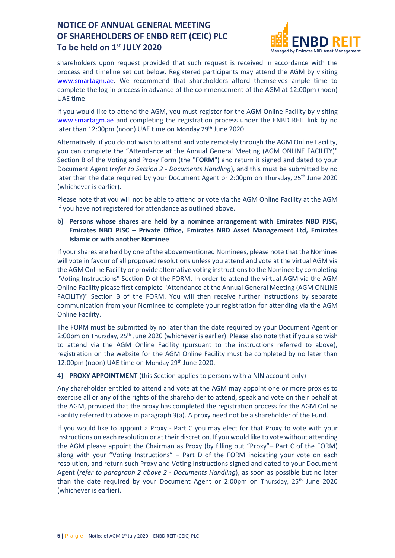

shareholders upon request provided that such request is received in accordance with the process and timeline set out below. Registered participants may attend the AGM by visiting [www.smartagm.ae.](http://www.smartagm.ae/) We recommend that shareholders afford themselves ample time to complete the log-in process in advance of the commencement of the AGM at 12:00pm (noon) UAE time.

If you would like to attend the AGM, you must register for the AGM Online Facility by visiting [www.smartagm.ae](http://www.smartagm.ae/) and completing the registration process under the ENBD REIT link by no later than 12:00pm (noon) UAE time on Monday 29<sup>th</sup> June 2020.

Alternatively, if you do not wish to attend and vote remotely through the AGM Online Facility, you can complete the "Attendance at the Annual General Meeting (AGM ONLINE FACILITY)" Section B of the Voting and Proxy Form (the "**FORM**") and return it signed and dated to your Document Agent (*refer to Section 2 - Documents Handling*), and this must be submitted by no later than the date required by your Document Agent or 2:00pm on Thursday,  $25<sup>th</sup>$  June 2020 (whichever is earlier).

Please note that you will not be able to attend or vote via the AGM Online Facility at the AGM if you have not registered for attendance as outlined above.

**b) Persons whose shares are held by a nominee arrangement with Emirates NBD PJSC, Emirates NBD PJSC – Private Office, Emirates NBD Asset Management Ltd, Emirates Islamic or with another Nominee**

If your shares are held by one of the abovementioned Nominees, please note that the Nominee will vote in favour of all proposed resolutions unless you attend and vote at the virtual AGM via the AGM Online Facility or provide alternative voting instructions to the Nominee by completing "Voting Instructions" Section D of the FORM. In order to attend the virtual AGM via the AGM Online Facility please first complete "Attendance at the Annual General Meeting (AGM ONLINE FACILITY)" Section B of the FORM. You will then receive further instructions by separate communication from your Nominee to complete your registration for attending via the AGM Online Facility.

The FORM must be submitted by no later than the date required by your Document Agent or 2:00pm on Thursday, 25<sup>th</sup> June 2020 (whichever is earlier). Please also note that if you also wish to attend via the AGM Online Facility (pursuant to the instructions referred to above), registration on the website for the AGM Online Facility must be completed by no later than 12:00pm (noon) UAE time on Monday 29<sup>th</sup> June 2020.

#### **4) PROXY APPOINTMENT** (this Section applies to persons with a NIN account only)

Any shareholder entitled to attend and vote at the AGM may appoint one or more proxies to exercise all or any of the rights of the shareholder to attend, speak and vote on their behalf at the AGM, provided that the proxy has completed the registration process for the AGM Online Facility referred to above in paragraph 3(a). A proxy need not be a shareholder of the Fund.

If you would like to appoint a Proxy - Part C you may elect for that Proxy to vote with your instructions on each resolution or at their discretion. If you would like to vote without attending the AGM please appoint the Chairman as Proxy (by filling out "Proxy"– Part C of the FORM) along with your "Voting Instructions" – Part D of the FORM indicating your vote on each resolution, and return such Proxy and Voting Instructions signed and dated to your Document Agent (*refer to paragraph 2 above 2 - Documents Handling*), as soon as possible but no later than the date required by your Document Agent or 2:00pm on Thursday, 25<sup>th</sup> June 2020 (whichever is earlier).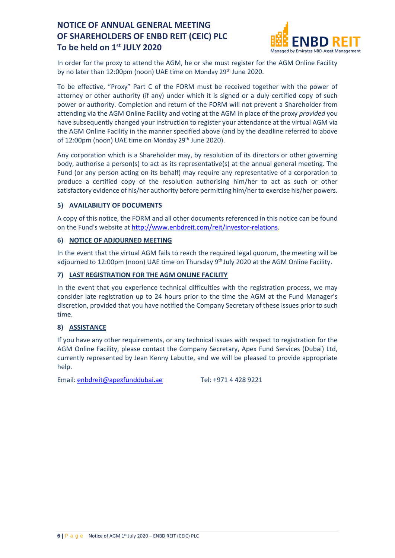

In order for the proxy to attend the AGM, he or she must register for the AGM Online Facility by no later than 12:00pm (noon) UAE time on Monday 29<sup>th</sup> June 2020.

To be effective, "Proxy" Part C of the FORM must be received together with the power of attorney or other authority (if any) under which it is signed or a duly certified copy of such power or authority. Completion and return of the FORM will not prevent a Shareholder from attending via the AGM Online Facility and voting at the AGM in place of the proxy *provided* you have subsequently changed your instruction to register your attendance at the virtual AGM via the AGM Online Facility in the manner specified above (and by the deadline referred to above of 12:00pm (noon) UAE time on Monday 29<sup>th</sup> June 2020).

Any corporation which is a Shareholder may, by resolution of its directors or other governing body, authorise a person(s) to act as its representative(s) at the annual general meeting. The Fund (or any person acting on its behalf) may require any representative of a corporation to produce a certified copy of the resolution authorising him/her to act as such or other satisfactory evidence of his/her authority before permitting him/her to exercise his/her powers.

### **5) AVAILABILITY OF DOCUMENTS**

A copy of this notice, the FORM and all other documents referenced in this notice can be found on the Fund's website a[t http://www.enbdreit.com/reit/investor-relations.](http://www.enbdreit.com/reit/investor-relations)

### **6) NOTICE OF ADJOURNED MEETING**

In the event that the virtual AGM fails to reach the required legal quorum, the meeting will be adjourned to 12:00pm (noon) UAE time on Thursday 9<sup>th</sup> July 2020 at the AGM Online Facility.

### **7) LAST REGISTRATION FOR THE AGM ONLINE FACILITY**

In the event that you experience technical difficulties with the registration process, we may consider late registration up to 24 hours prior to the time the AGM at the Fund Manager's discretion, provided that you have notified the Company Secretary of these issues prior to such time.

#### **8) ASSISTANCE**

If you have any other requirements, or any technical issues with respect to registration for the AGM Online Facility, please contact the Company Secretary, Apex Fund Services (Dubai) Ltd, currently represented by Jean Kenny Labutte, and we will be pleased to provide appropriate help.

Email: [enbdreit@apexfunddubai.ae](mailto:enbdreit@apexfunddubai.ae) Tel: +971 4 428 9221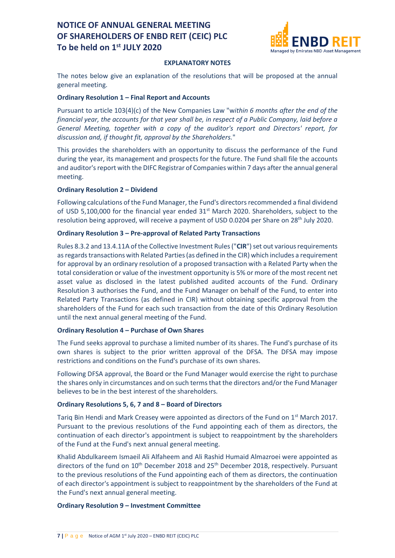

#### **EXPLANATORY NOTES**

The notes below give an explanation of the resolutions that will be proposed at the annual general meeting.

#### **Ordinary Resolution 1 – Final Report and Accounts**

Pursuant to article 103(4)(c) of the New Companies Law "w*ithin 6 months after the end of the financial year, the accounts for that year shall be, in respect of a Public Company, laid before a General Meeting, together with a copy of the auditor's report and Directors' report, for discussion and, if thought fit, approval by the Shareholders.*"

This provides the shareholders with an opportunity to discuss the performance of the Fund during the year, its management and prospects for the future. The Fund shall file the accounts and auditor's report with the DIFC Registrar of Companies within 7 days after the annual general meeting.

#### **Ordinary Resolution 2 – Dividend**

Following calculations of the Fund Manager, the Fund's directors recommended a final dividend of USD 5,100,000 for the financial year ended  $31<sup>st</sup>$  March 2020. Shareholders, subject to the resolution being approved, will receive a payment of USD 0.0204 per Share on 28<sup>th</sup> July 2020.

#### **Ordinary Resolution 3 – Pre-approval of Related Party Transactions**

Rules 8.3.2 and 13.4.11A of the Collective Investment Rules ("**CIR**") set out various requirements as regards transactions with Related Parties (as defined in the CIR) which includes a requirement for approval by an ordinary resolution of a proposed transaction with a Related Party when the total consideration or value of the investment opportunity is 5% or more of the most recent net asset value as disclosed in the latest published audited accounts of the Fund. Ordinary Resolution 3 authorises the Fund, and the Fund Manager on behalf of the Fund, to enter into Related Party Transactions (as defined in CIR) without obtaining specific approval from the shareholders of the Fund for each such transaction from the date of this Ordinary Resolution until the next annual general meeting of the Fund.

#### **Ordinary Resolution 4 – Purchase of Own Shares**

The Fund seeks approval to purchase a limited number of its shares. The Fund's purchase of its own shares is subject to the prior written approval of the DFSA. The DFSA may impose restrictions and conditions on the Fund's purchase of its own shares.

Following DFSA approval, the Board or the Fund Manager would exercise the right to purchase the shares only in circumstances and on such terms that the directors and/or the Fund Manager believes to be in the best interest of the shareholders.

#### **Ordinary Resolutions 5, 6, 7 and 8 – Board of Directors**

Tariq Bin Hendi and Mark Creasey were appointed as directors of the Fund on  $1<sup>st</sup>$  March 2017. Pursuant to the previous resolutions of the Fund appointing each of them as directors, the continuation of each director's appointment is subject to reappointment by the shareholders of the Fund at the Fund's next annual general meeting.

Khalid Abdulkareem Ismaeil Ali Alfaheem and Ali Rashid Humaid Almazroei were appointed as directors of the fund on  $10<sup>th</sup>$  December 2018 and 25<sup>th</sup> December 2018, respectively. Pursuant to the previous resolutions of the Fund appointing each of them as directors, the continuation of each director's appointment is subject to reappointment by the shareholders of the Fund at the Fund's next annual general meeting.

#### **Ordinary Resolution 9 – Investment Committee**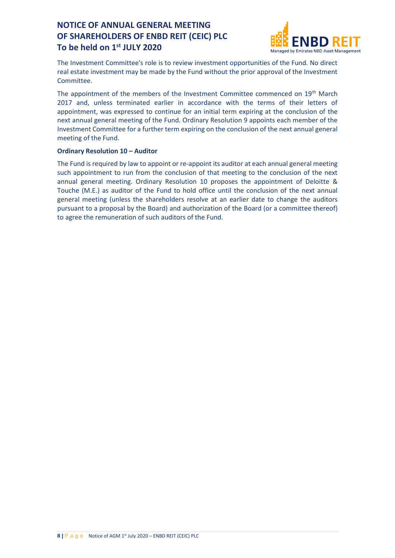

The Investment Committee's role is to review investment opportunities of the Fund. No direct real estate investment may be made by the Fund without the prior approval of the Investment Committee.

The appointment of the members of the Investment Committee commenced on 19<sup>th</sup> March 2017 and, unless terminated earlier in accordance with the terms of their letters of appointment, was expressed to continue for an initial term expiring at the conclusion of the next annual general meeting of the Fund. Ordinary Resolution 9 appoints each member of the Investment Committee for a further term expiring on the conclusion of the next annual general meeting of the Fund.

### **Ordinary Resolution 10 – Auditor**

The Fund is required by law to appoint or re-appoint its auditor at each annual general meeting such appointment to run from the conclusion of that meeting to the conclusion of the next annual general meeting. Ordinary Resolution 10 proposes the appointment of Deloitte & Touche (M.E.) as auditor of the Fund to hold office until the conclusion of the next annual general meeting (unless the shareholders resolve at an earlier date to change the auditors pursuant to a proposal by the Board) and authorization of the Board (or a committee thereof) to agree the remuneration of such auditors of the Fund.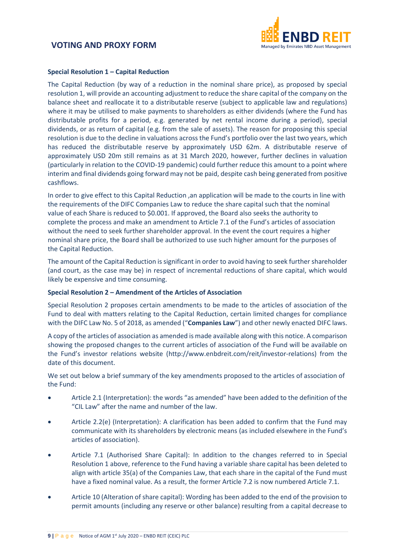

#### **Special Resolution 1 – Capital Reduction**

The Capital Reduction (by way of a reduction in the nominal share price), as proposed by special resolution 1, will provide an accounting adjustment to reduce the share capital of the company on the balance sheet and reallocate it to a distributable reserve (subject to applicable law and regulations) where it may be utilised to make payments to shareholders as either dividends (where the Fund has distributable profits for a period, e.g. generated by net rental income during a period), special dividends, or as return of capital (e.g. from the sale of assets). The reason for proposing this special resolution is due to the decline in valuations across the Fund's portfolio over the last two years, which has reduced the distributable reserve by approximately USD 62m. A distributable reserve of approximately USD 20m still remains as at 31 March 2020, however, further declines in valuation (particularly in relation to the COVID-19 pandemic) could further reduce this amount to a point where interim and final dividends going forward may not be paid, despite cash being generated from positive cashflows.

In order to give effect to this Capital Reduction ,an application will be made to the courts in line with the requirements of the DIFC Companies Law to reduce the share capital such that the nominal value of each Share is reduced to \$0.001. If approved, the Board also seeks the authority to complete the process and make an amendment to Article 7.1 of the Fund's articles of association without the need to seek further shareholder approval. In the event the court requires a higher nominal share price, the Board shall be authorized to use such higher amount for the purposes of the Capital Reduction.

The amount of the Capital Reduction is significant in order to avoid having to seek further shareholder (and court, as the case may be) in respect of incremental reductions of share capital, which would likely be expensive and time consuming.

#### **Special Resolution 2 – Amendment of the Articles of Association**

Special Resolution 2 proposes certain amendments to be made to the articles of association of the Fund to deal with matters relating to the Capital Reduction, certain limited changes for compliance with the DIFC Law No. 5 of 2018, as amended ("**Companies Law**") and other newly enacted DIFC laws.

A copy of the articles of association as amended is made available along with this notice. A comparison showing the proposed changes to the current articles of association of the Fund will be available on the Fund's investor relations website (http://www.enbdreit.com/reit/investor-relations) from the date of this document.

We set out below a brief summary of the key amendments proposed to the articles of association of the Fund:

- Article 2.1 (Interpretation): the words "as amended" have been added to the definition of the "CIL Law" after the name and number of the law.
- Article 2.2(e) (Interpretation): A clarification has been added to confirm that the Fund may communicate with its shareholders by electronic means (as included elsewhere in the Fund's articles of association).
- Article 7.1 (Authorised Share Capital): In addition to the changes referred to in Special Resolution 1 above, reference to the Fund having a variable share capital has been deleted to align with article 35(a) of the Companies Law, that each share in the capital of the Fund must have a fixed nominal value. As a result, the former Article 7.2 is now numbered Article 7.1.
- Article 10 (Alteration of share capital): Wording has been added to the end of the provision to permit amounts (including any reserve or other balance) resulting from a capital decrease to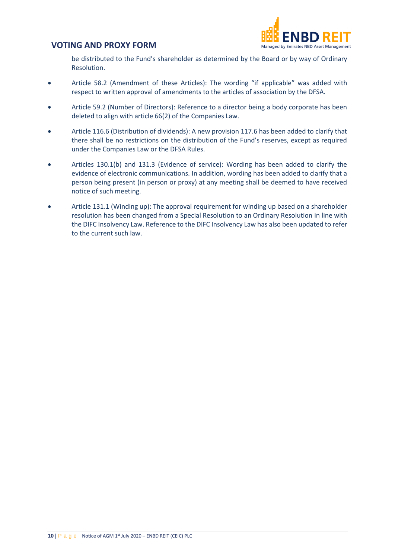

be distributed to the Fund's shareholder as determined by the Board or by way of Ordinary Resolution.

- Article 58.2 (Amendment of these Articles): The wording "if applicable" was added with respect to written approval of amendments to the articles of association by the DFSA.
- Article 59.2 (Number of Directors): Reference to a director being a body corporate has been deleted to align with article 66(2) of the Companies Law.
- Article 116.6 (Distribution of dividends): A new provision 117.6 has been added to clarify that there shall be no restrictions on the distribution of the Fund's reserves, except as required under the Companies Law or the DFSA Rules.
- Articles 130.1(b) and 131.3 (Evidence of service): Wording has been added to clarify the evidence of electronic communications. In addition, wording has been added to clarify that a person being present (in person or proxy) at any meeting shall be deemed to have received notice of such meeting.
- Article 131.1 (Winding up): The approval requirement for winding up based on a shareholder resolution has been changed from a Special Resolution to an Ordinary Resolution in line with the DIFC Insolvency Law. Reference to the DIFC Insolvency Law has also been updated to refer to the current such law.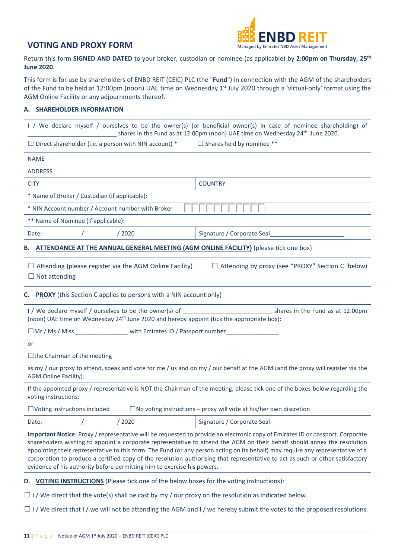

Return this form **SIGNED AND DATED** to your broker, custodian or nominee (as applicable) by **2:00pm on Thursday, 25th June 2020**.

This form is for use by shareholders of ENBD REIT (CEIC) PLC (the "**Fund**") in connection with the AGM of the shareholders of the Fund to be held at 12:00pm (noon) UAE time on Wednesday 1<sup>st</sup> July 2020 through a 'virtual-only' format using the AGM Online Facility or any adjournments thereof.

#### **A. SHAREHOLDER INFORMATION**

| I / We declare myself / ourselves to be the owner(s) (or beneficial owner(s) in case of nominee shareholding) of<br>shares in the Fund as at 12:00pm (noon) UAE time on Wednesday 24 <sup>th</sup> June 2020.                                                                                                                                                                                                                                                                                                                                                                                              |                                                         |  |  |  |
|------------------------------------------------------------------------------------------------------------------------------------------------------------------------------------------------------------------------------------------------------------------------------------------------------------------------------------------------------------------------------------------------------------------------------------------------------------------------------------------------------------------------------------------------------------------------------------------------------------|---------------------------------------------------------|--|--|--|
| $\Box$ Direct shareholder (i.e. a person with NIN account) * $\Box$ Shares held by nominee **                                                                                                                                                                                                                                                                                                                                                                                                                                                                                                              |                                                         |  |  |  |
| <b>NAME</b>                                                                                                                                                                                                                                                                                                                                                                                                                                                                                                                                                                                                |                                                         |  |  |  |
| <b>ADDRESS</b>                                                                                                                                                                                                                                                                                                                                                                                                                                                                                                                                                                                             |                                                         |  |  |  |
| <b>CITY</b>                                                                                                                                                                                                                                                                                                                                                                                                                                                                                                                                                                                                | <b>COUNTRY</b>                                          |  |  |  |
| * Name of Broker / Custodian (if applicable):                                                                                                                                                                                                                                                                                                                                                                                                                                                                                                                                                              |                                                         |  |  |  |
| * NIN Account number / Account number with Broker                                                                                                                                                                                                                                                                                                                                                                                                                                                                                                                                                          |                                                         |  |  |  |
| ** Name of Nominee (if applicable):                                                                                                                                                                                                                                                                                                                                                                                                                                                                                                                                                                        |                                                         |  |  |  |
| /2020<br>Date:                                                                                                                                                                                                                                                                                                                                                                                                                                                                                                                                                                                             | Signature / Corporate Seal                              |  |  |  |
| B. ATTENDANCE AT THE ANNUAL GENERAL MEETING (AGM ONLINE FACILITY) (please tick one box)                                                                                                                                                                                                                                                                                                                                                                                                                                                                                                                    |                                                         |  |  |  |
| $\Box$ Attending (please register via the AGM Online Facility)<br>$\Box$ Not attending                                                                                                                                                                                                                                                                                                                                                                                                                                                                                                                     | $\Box$ Attending by proxy (see "PROXY" Section C below) |  |  |  |
| <b>C.</b> PROXY (this Section C applies to persons with a NIN account only)                                                                                                                                                                                                                                                                                                                                                                                                                                                                                                                                |                                                         |  |  |  |
| I / We declare myself / ourselves to be the owner(s) of ________________________<br>shares in the Fund as at 12:00pm<br>(noon) UAE time on Wednesday 24 <sup>th</sup> June 2020 and hereby appoint (tick the appropriate box):                                                                                                                                                                                                                                                                                                                                                                             |                                                         |  |  |  |
| $\square$ Mr / Ms / Miss with Emirates ID / Passport number                                                                                                                                                                                                                                                                                                                                                                                                                                                                                                                                                |                                                         |  |  |  |
| or                                                                                                                                                                                                                                                                                                                                                                                                                                                                                                                                                                                                         |                                                         |  |  |  |
| $\Box$ the Chairman of the meeting                                                                                                                                                                                                                                                                                                                                                                                                                                                                                                                                                                         |                                                         |  |  |  |
| as my / our proxy to attend, speak and vote for me / us and on my / our behalf at the AGM (and the proxy will register via the<br>AGM Online Facility).                                                                                                                                                                                                                                                                                                                                                                                                                                                    |                                                         |  |  |  |
| If the appointed proxy / representative is NOT the Chairman of the meeting, please tick one of the boxes below regarding the<br>voting instructions:                                                                                                                                                                                                                                                                                                                                                                                                                                                       |                                                         |  |  |  |
| $\Box$ Voting instructions included<br>$\Box$ No voting instructions – proxy will vote at his/her own discretion                                                                                                                                                                                                                                                                                                                                                                                                                                                                                           |                                                         |  |  |  |
| /2020<br>Date:                                                                                                                                                                                                                                                                                                                                                                                                                                                                                                                                                                                             | Signature / Corporate Seal                              |  |  |  |
| Important Notice: Proxy / representative will be requested to provide an electronic copy of Emirates ID or passport. Corporate<br>shareholders wishing to appoint a corporate representative to attend the AGM on their behalf should annex the resolution<br>appointing their representative to this form. The Fund (or any person acting on its behalf) may require any representative of a<br>corporation to produce a certified copy of the resolution authorising that representative to act as such or other satisfactory<br>evidence of his authority before permitting him to exercise his powers. |                                                         |  |  |  |
| VOTING INSTRUCTIONS (Please tick one of the below boxes for the voting instructions):<br>D.                                                                                                                                                                                                                                                                                                                                                                                                                                                                                                                |                                                         |  |  |  |
| $\Box$ I / We direct that the vote(s) shall be cast by my / our proxy on the resolution as indicated below.                                                                                                                                                                                                                                                                                                                                                                                                                                                                                                |                                                         |  |  |  |

□ I / We direct that I / we will not be attending the AGM and I / we hereby submit the votes to the proposed resolutions.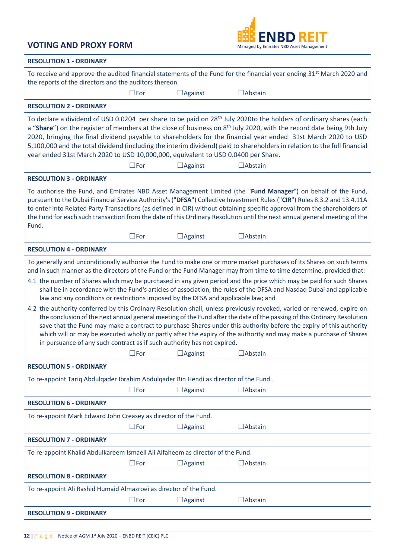

| <b>RESOLUTION 1 - ORDINARY</b>                                                                                                                                                                                                                                                                                                                                                                                                                                                                                                                                                                                                                                                                                                                                                                                                                                                                                                                                                                                                                                                                                                                                |  |  |  |  |
|---------------------------------------------------------------------------------------------------------------------------------------------------------------------------------------------------------------------------------------------------------------------------------------------------------------------------------------------------------------------------------------------------------------------------------------------------------------------------------------------------------------------------------------------------------------------------------------------------------------------------------------------------------------------------------------------------------------------------------------------------------------------------------------------------------------------------------------------------------------------------------------------------------------------------------------------------------------------------------------------------------------------------------------------------------------------------------------------------------------------------------------------------------------|--|--|--|--|
| To receive and approve the audited financial statements of the Fund for the financial year ending 31 <sup>st</sup> March 2020 and<br>the reports of the directors and the auditors thereon.                                                                                                                                                                                                                                                                                                                                                                                                                                                                                                                                                                                                                                                                                                                                                                                                                                                                                                                                                                   |  |  |  |  |
| $\square$ For<br>$\Box$ Against<br>$\Box$ Abstain                                                                                                                                                                                                                                                                                                                                                                                                                                                                                                                                                                                                                                                                                                                                                                                                                                                                                                                                                                                                                                                                                                             |  |  |  |  |
| <b>RESOLUTION 2 - ORDINARY</b>                                                                                                                                                                                                                                                                                                                                                                                                                                                                                                                                                                                                                                                                                                                                                                                                                                                                                                                                                                                                                                                                                                                                |  |  |  |  |
| To declare a dividend of USD 0.0204 per share to be paid on 28 <sup>th</sup> July 2020to the holders of ordinary shares (each<br>a "Share") on the register of members at the close of business on 8 <sup>th</sup> July 2020, with the record date being 9th July<br>2020, bringing the final dividend payable to shareholders for the financial year ended 31st March 2020 to USD<br>5,100,000 and the total dividend (including the interim dividend) paid to shareholders in relation to the full financial<br>year ended 31st March 2020 to USD 10,000,000, equivalent to USD 0.0400 per Share.<br>$\square$ For<br>$\Box$ Against<br>$\Box$ Abstain                                                                                                                                                                                                                                                                                                                                                                                                                                                                                                      |  |  |  |  |
| <b>RESOLUTION 3 - ORDINARY</b>                                                                                                                                                                                                                                                                                                                                                                                                                                                                                                                                                                                                                                                                                                                                                                                                                                                                                                                                                                                                                                                                                                                                |  |  |  |  |
| To authorise the Fund, and Emirates NBD Asset Management Limited (the "Fund Manager") on behalf of the Fund,<br>pursuant to the Dubai Financial Service Authority's ("DFSA") Collective Investment Rules ("CIR") Rules 8.3.2 and 13.4.11A<br>to enter into Related Party Transactions (as defined in CIR) without obtaining specific approval from the shareholders of<br>the Fund for each such transaction from the date of this Ordinary Resolution until the next annual general meeting of the<br>Fund.                                                                                                                                                                                                                                                                                                                                                                                                                                                                                                                                                                                                                                                  |  |  |  |  |
| $\square$ For<br>$\Box$ Against<br>$\Box$ Abstain                                                                                                                                                                                                                                                                                                                                                                                                                                                                                                                                                                                                                                                                                                                                                                                                                                                                                                                                                                                                                                                                                                             |  |  |  |  |
| <b>RESOLUTION 4 - ORDINARY</b>                                                                                                                                                                                                                                                                                                                                                                                                                                                                                                                                                                                                                                                                                                                                                                                                                                                                                                                                                                                                                                                                                                                                |  |  |  |  |
| To generally and unconditionally authorise the Fund to make one or more market purchases of its Shares on such terms<br>and in such manner as the directors of the Fund or the Fund Manager may from time to time determine, provided that:<br>4.1 the number of Shares which may be purchased in any given period and the price which may be paid for such Shares<br>shall be in accordance with the Fund's articles of association, the rules of the DFSA and Nasdaq Dubai and applicable<br>law and any conditions or restrictions imposed by the DFSA and applicable law; and<br>4.2 the authority conferred by this Ordinary Resolution shall, unless previously revoked, varied or renewed, expire on<br>the conclusion of the next annual general meeting of the Fund after the date of the passing of this Ordinary Resolution<br>save that the Fund may make a contract to purchase Shares under this authority before the expiry of this authority<br>which will or may be executed wholly or partly after the expiry of the authority and may make a purchase of Shares<br>in pursuance of any such contract as if such authority has not expired. |  |  |  |  |
| $\Box$ For $\Box$ Against<br>$\Box$ Abstain                                                                                                                                                                                                                                                                                                                                                                                                                                                                                                                                                                                                                                                                                                                                                                                                                                                                                                                                                                                                                                                                                                                   |  |  |  |  |
| <b>RESOLUTION 5 - ORDINARY</b>                                                                                                                                                                                                                                                                                                                                                                                                                                                                                                                                                                                                                                                                                                                                                                                                                                                                                                                                                                                                                                                                                                                                |  |  |  |  |
| To re-appoint Tariq Abdulgader Ibrahim Abdulgader Bin Hendi as director of the Fund.                                                                                                                                                                                                                                                                                                                                                                                                                                                                                                                                                                                                                                                                                                                                                                                                                                                                                                                                                                                                                                                                          |  |  |  |  |
| $\square$ For<br>$\Box$ Against<br>$\Box$ Abstain                                                                                                                                                                                                                                                                                                                                                                                                                                                                                                                                                                                                                                                                                                                                                                                                                                                                                                                                                                                                                                                                                                             |  |  |  |  |
| <b>RESOLUTION 6 - ORDINARY</b>                                                                                                                                                                                                                                                                                                                                                                                                                                                                                                                                                                                                                                                                                                                                                                                                                                                                                                                                                                                                                                                                                                                                |  |  |  |  |
| To re-appoint Mark Edward John Creasey as director of the Fund.                                                                                                                                                                                                                                                                                                                                                                                                                                                                                                                                                                                                                                                                                                                                                                                                                                                                                                                                                                                                                                                                                               |  |  |  |  |
| $\square$ For<br>$\Box$ Abstain<br>$\Box$ Against                                                                                                                                                                                                                                                                                                                                                                                                                                                                                                                                                                                                                                                                                                                                                                                                                                                                                                                                                                                                                                                                                                             |  |  |  |  |
| <b>RESOLUTION 7 - ORDINARY</b>                                                                                                                                                                                                                                                                                                                                                                                                                                                                                                                                                                                                                                                                                                                                                                                                                                                                                                                                                                                                                                                                                                                                |  |  |  |  |
| To re-appoint Khalid Abdulkareem Ismaeil Ali Alfaheem as director of the Fund.                                                                                                                                                                                                                                                                                                                                                                                                                                                                                                                                                                                                                                                                                                                                                                                                                                                                                                                                                                                                                                                                                |  |  |  |  |
| $\square$ For<br>$\Box$ Abstain<br>$\Box$ Against                                                                                                                                                                                                                                                                                                                                                                                                                                                                                                                                                                                                                                                                                                                                                                                                                                                                                                                                                                                                                                                                                                             |  |  |  |  |
| <b>RESOLUTION 8 - ORDINARY</b>                                                                                                                                                                                                                                                                                                                                                                                                                                                                                                                                                                                                                                                                                                                                                                                                                                                                                                                                                                                                                                                                                                                                |  |  |  |  |
| To re-appoint Ali Rashid Humaid Almazroei as director of the Fund.                                                                                                                                                                                                                                                                                                                                                                                                                                                                                                                                                                                                                                                                                                                                                                                                                                                                                                                                                                                                                                                                                            |  |  |  |  |
| $\square$ For<br>$\Box$ Abstain<br>$\Box$ Against                                                                                                                                                                                                                                                                                                                                                                                                                                                                                                                                                                                                                                                                                                                                                                                                                                                                                                                                                                                                                                                                                                             |  |  |  |  |
| <b>RESOLUTION 9 - ORDINARY</b>                                                                                                                                                                                                                                                                                                                                                                                                                                                                                                                                                                                                                                                                                                                                                                                                                                                                                                                                                                                                                                                                                                                                |  |  |  |  |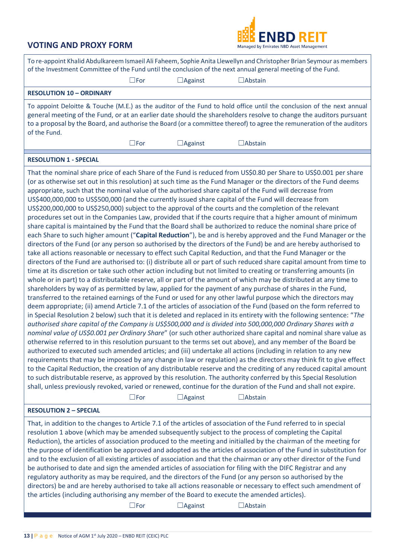

| To re-appoint Khalid Abdulkareem Ismaeil Ali Faheem, Sophie Anita Llewellyn and Christopher Brian Seymour as members<br>of the Investment Committee of the Fund until the conclusion of the next annual general meeting of the Fund.                                                                                                                                                                                                                                                                                                                                                                                                                                                                                                                                                                                                                                                                                                                                                                                                                                                                                                                                                                                                                                                 |                |                |  |  |  |
|--------------------------------------------------------------------------------------------------------------------------------------------------------------------------------------------------------------------------------------------------------------------------------------------------------------------------------------------------------------------------------------------------------------------------------------------------------------------------------------------------------------------------------------------------------------------------------------------------------------------------------------------------------------------------------------------------------------------------------------------------------------------------------------------------------------------------------------------------------------------------------------------------------------------------------------------------------------------------------------------------------------------------------------------------------------------------------------------------------------------------------------------------------------------------------------------------------------------------------------------------------------------------------------|----------------|----------------|--|--|--|
| $\square$ For                                                                                                                                                                                                                                                                                                                                                                                                                                                                                                                                                                                                                                                                                                                                                                                                                                                                                                                                                                                                                                                                                                                                                                                                                                                                        | $\Box$ Against | $\Box$ Abstain |  |  |  |
| <b>RESOLUTION 10 - ORDINARY</b>                                                                                                                                                                                                                                                                                                                                                                                                                                                                                                                                                                                                                                                                                                                                                                                                                                                                                                                                                                                                                                                                                                                                                                                                                                                      |                |                |  |  |  |
| To appoint Deloitte & Touche (M.E.) as the auditor of the Fund to hold office until the conclusion of the next annual<br>general meeting of the Fund, or at an earlier date should the shareholders resolve to change the auditors pursuant<br>to a proposal by the Board, and authorise the Board (or a committee thereof) to agree the remuneration of the auditors<br>of the Fund.                                                                                                                                                                                                                                                                                                                                                                                                                                                                                                                                                                                                                                                                                                                                                                                                                                                                                                |                |                |  |  |  |
| $\square$ For                                                                                                                                                                                                                                                                                                                                                                                                                                                                                                                                                                                                                                                                                                                                                                                                                                                                                                                                                                                                                                                                                                                                                                                                                                                                        | $\Box$ Against | $\Box$ Abstain |  |  |  |
| <b>RESOLUTION 1 - SPECIAL</b>                                                                                                                                                                                                                                                                                                                                                                                                                                                                                                                                                                                                                                                                                                                                                                                                                                                                                                                                                                                                                                                                                                                                                                                                                                                        |                |                |  |  |  |
| That the nominal share price of each Share of the Fund is reduced from US\$0.80 per Share to US\$0.001 per share<br>(or as otherwise set out in this resolution) at such time as the Fund Manager or the directors of the Fund deems<br>appropriate, such that the nominal value of the authorised share capital of the Fund will decrease from<br>US\$400,000,000 to US\$500,000 (and the currently issued share capital of the Fund will decrease from<br>US\$200,000,000 to US\$250,000) subject to the approval of the courts and the completion of the relevant<br>procedures set out in the Companies Law, provided that if the courts require that a higher amount of minimum<br>share capital is maintained by the Fund that the Board shall be authorized to reduce the nominal share price of<br>each Share to such higher amount ("Capital Reduction"), be and is hereby approved and the Fund Manager or the<br>directors of the Fund (or any person so authorised by the directors of the Fund) be and are hereby authorised to<br>take all actions reasonable or necessary to effect such Capital Reduction, and that the Fund Manager or the<br>directors of the Fund are authorised to: (i) distribute all or part of such reduced share capital amount from time to |                |                |  |  |  |

directors of the Fund are authorised to: (i) distribute all or part of such reduced share capital amount from time to time at its discretion or take such other action including but not limited to creating or transferring amounts (in whole or in part) to a distributable reserve, all or part of the amount of which may be distributed at any time to shareholders by way of as permitted by law, applied for the payment of any purchase of shares in the Fund, transferred to the retained earnings of the Fund or used for any other lawful purpose which the directors may deem appropriate; (ii) amend Article 7.1 of the articles of association of the Fund (based on the form referred to in Special Resolution 2 below) such that it is deleted and replaced in its entirety with the following sentence: "*The authorised share capital of the Company is US\$500,000 and is divided into 500,000,000 Ordinary Shares with a nominal value of US\$0.001 per Ordinary Share*" (or such other authorized share capital and nominal share value as otherwise referred to in this resolution pursuant to the terms set out above), and any member of the Board be authorized to executed such amended articles; and (iii) undertake all actions (including in relation to any new requirements that may be imposed by any change in law or regulation) as the directors may think fit to give effect to the Capital Reduction, the creation of any distributable reserve and the crediting of any reduced capital amount to such distributable reserve, as approved by this resolution. The authority conferred by this Special Resolution shall, unless previously revoked, varied or renewed, continue for the duration of the Fund and shall not expire.

☐For ☐Against ☐Abstain

#### **RESOLUTION 2 – SPECIAL**

That, in addition to the changes to Article 7.1 of the articles of association of the Fund referred to in special resolution 1 above (which may be amended subsequently subject to the process of completing the Capital Reduction), the articles of association produced to the meeting and initialled by the chairman of the meeting for the purpose of identification be approved and adopted as the articles of association of the Fund in substitution for and to the exclusion of all existing articles of association and that the chairman or any other director of the Fund be authorised to date and sign the amended articles of association for filing with the DIFC Registrar and any regulatory authority as may be required, and the directors of the Fund (or any person so authorised by the directors) be and are hereby authorised to take all actions reasonable or necessary to effect such amendment of the articles (including authorising any member of the Board to execute the amended articles).

☐For ☐Against ☐Abstain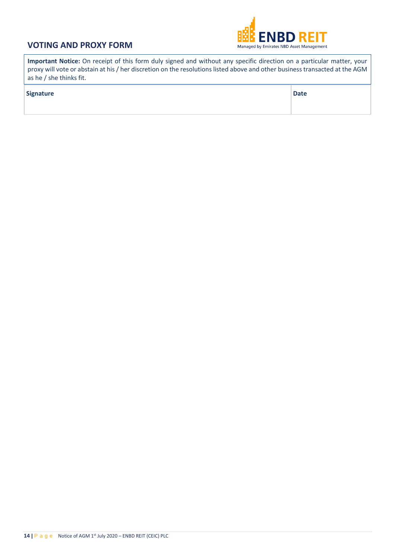

**Important Notice:** On receipt of this form duly signed and without any specific direction on a particular matter, your proxy will vote or abstain at his / her discretion on the resolutions listed above and other business transacted at the AGM as he / she thinks fit.

| <b>Signature</b> | <b>Date</b> |
|------------------|-------------|
|                  |             |